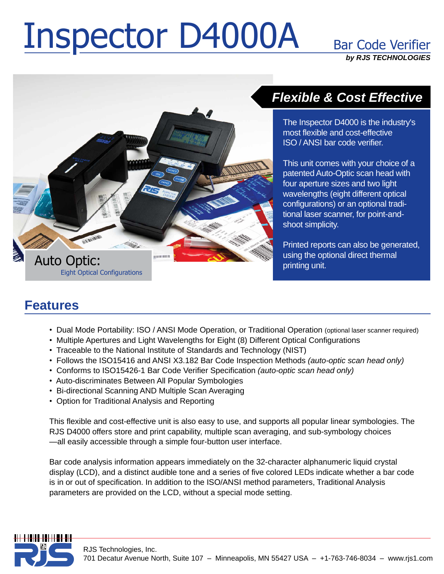# Inspector D4000A Bar Code Verifier

**Bar Code Verifier by RJS TECHNOLOGIES**



## **Flexible & Cost Effective**

The Inspector D4000 is the industry's most flexible and cost-effective ISO / ANSI bar code verifier.

This unit comes with your choice of a patented Auto-Optic scan head with four aperture sizes and two light wavelengths (eight different optical configurations) or an optional traditional laser scanner, for point-and shoot simplicity.

Printed reports can also be generated, using the optional direct thermal printing unit.

### ï**Features**

- Dual Mode Portability: ISO / ANSI Mode Operation, or Traditional Operation (optional laser scanner required) <sup>ï</sup>ï
- Multiple Apertures and Light Wavelengths for Eight (8) Different Optical Configurations
- Traceable to the National Institute of Standards and Technology (NIST) <sup>ï</sup>
- Follows the ISO15416 and ANSI X3.182 Bar Code Inspection Methods (auto-optic scan head only) • Follows the ISO15416 and ANSI X3.182 Bar Code Inspection Methods *(auto-optic scan head* only)<br>• Conforms to ISO15426-1 Bar Code Verifier Specification *(auto-optic scan head only)*
- 
- Auto-discriminates Between All Popular Symbologies ï
- Bi-directional Scanning AND Multiple Scan Averaging
- Option for Traditional Analysis and Reporting

This flexible and cost-effective unit is also easy to use, and supports all popular linear symbologies. The<br>RJS D4000 offers store and print capability, multiple scan averaging, and sub-symbology choices -all easily accessible through a simple four-button user interface.

Bar code analysis information appears immediately on the 32-character alphanumeric liquid crystal display (LCD), and a distinct audible tone and a series of five colored LEDs indicate whether a bar code is in or out of specification. In addition to the ISO/ANSI method parameters, Traditional Analysis parameters are provided on the LCD, without a special mode setting.

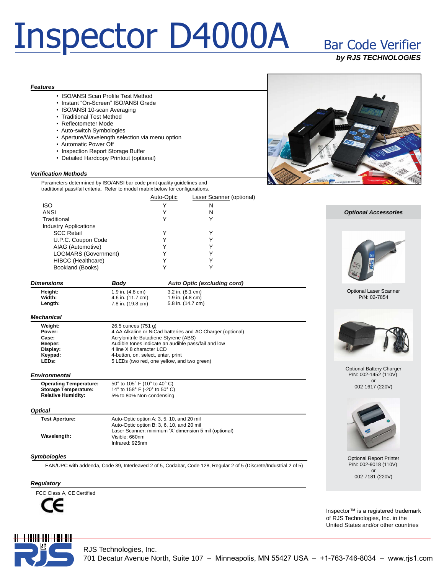## Inspector D4000A Bar Code Verifier

## **Bar Code Verifier**

**by RJS TECHNOLOGIES**

### **Features**

ï

- ISO/ANSI Scan Profile Test Method • ISO/ANSI Scan Profile Test Method<br>• Instant "On-Screen" ISO/ANSI Grade
- 
- ISO/ANSI 10-scan Averaging
- Traditional Test Method
- Reflectometer Mode
- Auto-switch Symbologies
- Aperture/Wavelength selection via menu option<br>• Automatic Power Off<br>• Inspection Report Storage Buffer
- 
- 
- Detailed Hardcopy Printout (optional)

### **Verification Methods**

Parameters determined by ISO/ANSI bar code print quality guidelines and traditional pass/fail criteria. Refer to model matrix below for configurations.

|                              | Auto-Optic | Laser Scanner (optional) |
|------------------------------|------------|--------------------------|
| <b>ISO</b>                   |            | Ν                        |
| ANSI                         |            | N                        |
| Traditional                  |            |                          |
| <b>Industry Applications</b> |            |                          |
| <b>SCC Retail</b>            |            |                          |
| U.P.C. Coupon Code           |            |                          |
| AIAG (Automotive)            |            |                          |
| LOGMARS (Government)         |            |                          |
| HIBCC (Healthcare)           |            |                          |
| Bookland (Books)             |            |                          |
|                              |            |                          |

| <b>Dimensions</b> | Bodv              | Auto Optic (excluding cord)  |
|-------------------|-------------------|------------------------------|
| Heiaht:           | 1.9 in. (4.8 cm)  | $3.2$ in. $(8.1 \text{ cm})$ |
| Width:            | 4.6 in. (11.7 cm) | 1.9 in. $(4.8 \text{ cm})$   |
| Length:           | 7.8 in. (19.8 cm) | 5.8 in. (14.7 cm)            |

### **Mechanical**

| Weight:  | 26.5 ounces (751 g)                                        |
|----------|------------------------------------------------------------|
| Power:   | 4 AA Alkaline or NiCad batteries and AC Charger (optional) |
| Case:    | Acrylonitrile Butadiene Styrene (ABS)                      |
| Beeper:  | Audible tones indicate an audible pass/fail and low        |
| Display: | 4 line X 8 character LCD                                   |
| Keypad:  | 4-button, on, select, enter, print                         |
| LEDs:    | 5 LEDs (two red, one yellow, and two green)                |

### **Environmental**

**Operating Temperature:** 50° to 105° F (10° to 40° C) **Storage Temperature: Relative Humidity:** <sup>50</sup>° to <sup>105</sup>° <sup>F</sup> (10° to <sup>40</sup>° C) <sup>14</sup>° to <sup>158</sup>° <sup>F</sup> (-20° to <sup>50</sup>° C) 5% to 80% Non-condensing

### **Optical**

| <b>Test Aperture:</b> | Auto-Optic option A: 3, 5, 10, and 20 mil<br>Auto-Optic option B: 3, 6, 10, and 20 mil |
|-----------------------|----------------------------------------------------------------------------------------|
| Wavelength:           | Laser Scanner: minimum 'X' dimension 5 mil (optional)<br>Visible: 660nm                |
|                       | Infrared: 925nm                                                                        |

### **Symbologies**

EAN/UPC with addenda, Code 39, Interleaved 2 of 5, Codabar, Code 128, Regular 2 of 5 (Discrete/Industrial 2 of 5)

### **Regulatory**

FCC Class A, CE Certified







**Optional Accessories**

#### Optional Laser Scanner P/N: 02-7854



#### Optional Battery Charger P/N: 002-1452 (110V) or 002-1617 (220V)



Optional Report Printer P/N: 002-9018 (110V) or 002-7181 (220V)

Inspector<sup>™</sup> is a registered trademark of RJS Technologies, Inc. in the United States and/or other countries

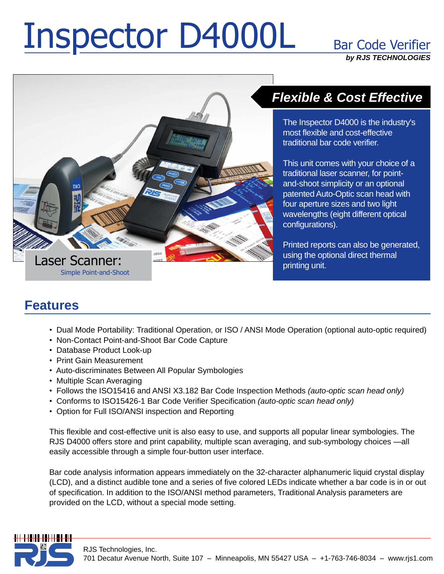# Inspector D4000L Bar Code Verifie

**Bar Code Verifier by RJS TECHNOLOGIES**



## **Flexible & Cost Effective**

The Inspector D4000 is the industry's most flexible and cost-effective traditional bar code verifier.

This unit comes with your choice of a traditional laser scanner, for point and-shoot simplicity or an optional patented Auto-Optic scan head with four aperture sizes and two light wavelengths (eight different optical configurations).

Printed reports can also be generated, using the optional direct thermal printing unit.

### ï**Features**

- Dual Mode Portability: Traditional Operation, or ISO / ANSI Mode Operation (optional auto-optic required) <sup>ï</sup>ï
- Non-Contact Point-and-Shoot Bar Code Capture
- Database Product Look-up<br>• Print Gain Measurement
- Print Gain Measurement
- Auto-discriminates Between All Popular Symbologies ï
- Multiple Scan Averaging
- Multiple Scan Averaging<br>• Follows the ISO15416 and ANSI X3.182 Bar Code Inspection Methods *(auto-optic scan head only)*
- Follows the ISO15416 and ANSI X3.182 Bar Code Inspection Methods *(auto-optic scan head* only)<br>• Conforms to ISO15426-1 Bar Code Verifier Specification *(auto-optic scan head only)*
- Option for Full ISO/ANSI inspection and Reporting

This flexible and cost-effective unit is also easy to use, and supports all popular linear symbologies. The RJS D4000 offers store and print capability, multiple scan averaging, and sub-symbology choices -all easily accessible through a simple four-button user interface.

Bar code analysis information appears immediately on the 32-character alphanumeric liquid crystal display (LCD), and a distinct audible tone and a series of five colored LEDs indicate whether a bar code is in or out of specification. In addition to the ISO/ANSI method parameters, Traditional Analysis parameters are provided on the LCD, without a special mode setting.